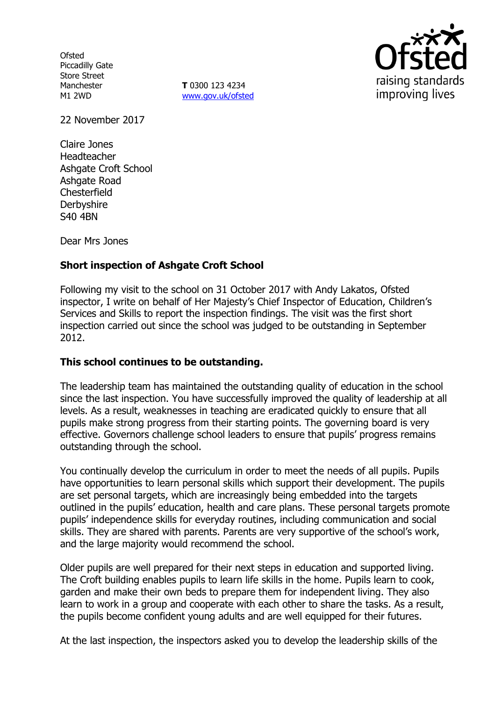**Ofsted** Piccadilly Gate Store Street Manchester M1 2WD

**T** 0300 123 4234 www.gov.uk/ofsted



22 November 2017

Claire Jones Headteacher Ashgate Croft School Ashgate Road **Chesterfield Derbyshire** S40 4BN

Dear Mrs Jones

# **Short inspection of Ashgate Croft School**

Following my visit to the school on 31 October 2017 with Andy Lakatos, Ofsted inspector, I write on behalf of Her Majesty's Chief Inspector of Education, Children's Services and Skills to report the inspection findings. The visit was the first short inspection carried out since the school was judged to be outstanding in September 2012.

#### **This school continues to be outstanding.**

The leadership team has maintained the outstanding quality of education in the school since the last inspection. You have successfully improved the quality of leadership at all levels. As a result, weaknesses in teaching are eradicated quickly to ensure that all pupils make strong progress from their starting points. The governing board is very effective. Governors challenge school leaders to ensure that pupils' progress remains outstanding through the school.

You continually develop the curriculum in order to meet the needs of all pupils. Pupils have opportunities to learn personal skills which support their development. The pupils are set personal targets, which are increasingly being embedded into the targets outlined in the pupils' education, health and care plans. These personal targets promote pupils' independence skills for everyday routines, including communication and social skills. They are shared with parents. Parents are very supportive of the school's work, and the large majority would recommend the school.

Older pupils are well prepared for their next steps in education and supported living. The Croft building enables pupils to learn life skills in the home. Pupils learn to cook, garden and make their own beds to prepare them for independent living. They also learn to work in a group and cooperate with each other to share the tasks. As a result, the pupils become confident young adults and are well equipped for their futures.

At the last inspection, the inspectors asked you to develop the leadership skills of the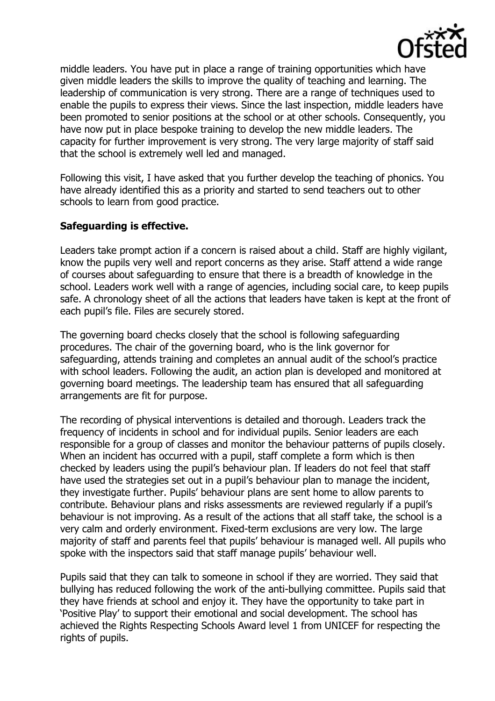

middle leaders. You have put in place a range of training opportunities which have given middle leaders the skills to improve the quality of teaching and learning. The leadership of communication is very strong. There are a range of techniques used to enable the pupils to express their views. Since the last inspection, middle leaders have been promoted to senior positions at the school or at other schools. Consequently, you have now put in place bespoke training to develop the new middle leaders. The capacity for further improvement is very strong. The very large majority of staff said that the school is extremely well led and managed.

Following this visit, I have asked that you further develop the teaching of phonics. You have already identified this as a priority and started to send teachers out to other schools to learn from good practice.

## **Safeguarding is effective.**

Leaders take prompt action if a concern is raised about a child. Staff are highly vigilant, know the pupils very well and report concerns as they arise. Staff attend a wide range of courses about safeguarding to ensure that there is a breadth of knowledge in the school. Leaders work well with a range of agencies, including social care, to keep pupils safe. A chronology sheet of all the actions that leaders have taken is kept at the front of each pupil's file. Files are securely stored.

The governing board checks closely that the school is following safeguarding procedures. The chair of the governing board, who is the link governor for safeguarding, attends training and completes an annual audit of the school's practice with school leaders. Following the audit, an action plan is developed and monitored at governing board meetings. The leadership team has ensured that all safeguarding arrangements are fit for purpose.

The recording of physical interventions is detailed and thorough. Leaders track the frequency of incidents in school and for individual pupils. Senior leaders are each responsible for a group of classes and monitor the behaviour patterns of pupils closely. When an incident has occurred with a pupil, staff complete a form which is then checked by leaders using the pupil's behaviour plan. If leaders do not feel that staff have used the strategies set out in a pupil's behaviour plan to manage the incident, they investigate further. Pupils' behaviour plans are sent home to allow parents to contribute. Behaviour plans and risks assessments are reviewed regularly if a pupil's behaviour is not improving. As a result of the actions that all staff take, the school is a very calm and orderly environment. Fixed-term exclusions are very low. The large majority of staff and parents feel that pupils' behaviour is managed well. All pupils who spoke with the inspectors said that staff manage pupils' behaviour well.

Pupils said that they can talk to someone in school if they are worried. They said that bullying has reduced following the work of the anti-bullying committee. Pupils said that they have friends at school and enjoy it. They have the opportunity to take part in 'Positive Play' to support their emotional and social development. The school has achieved the Rights Respecting Schools Award level 1 from UNICEF for respecting the rights of pupils.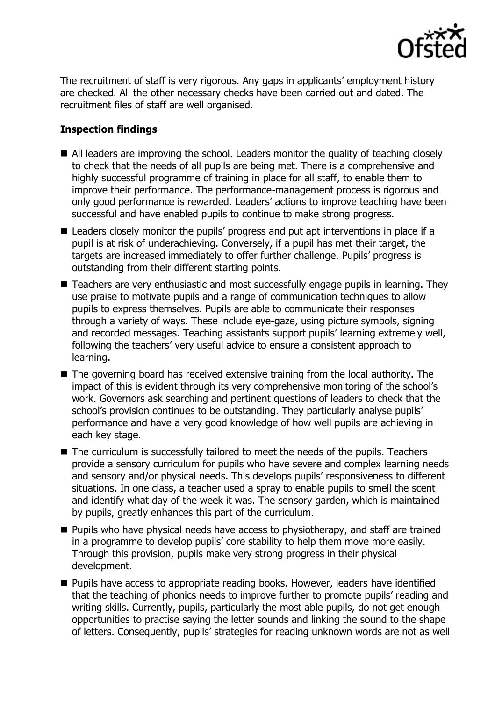

The recruitment of staff is very rigorous. Any gaps in applicants' employment history are checked. All the other necessary checks have been carried out and dated. The recruitment files of staff are well organised.

# **Inspection findings**

- All leaders are improving the school. Leaders monitor the quality of teaching closely to check that the needs of all pupils are being met. There is a comprehensive and highly successful programme of training in place for all staff, to enable them to improve their performance. The performance-management process is rigorous and only good performance is rewarded. Leaders' actions to improve teaching have been successful and have enabled pupils to continue to make strong progress.
- Leaders closely monitor the pupils' progress and put apt interventions in place if a pupil is at risk of underachieving. Conversely, if a pupil has met their target, the targets are increased immediately to offer further challenge. Pupils' progress is outstanding from their different starting points.
- Teachers are very enthusiastic and most successfully engage pupils in learning. They use praise to motivate pupils and a range of communication techniques to allow pupils to express themselves. Pupils are able to communicate their responses through a variety of ways. These include eye-gaze, using picture symbols, signing and recorded messages. Teaching assistants support pupils' learning extremely well, following the teachers' very useful advice to ensure a consistent approach to learning.
- The governing board has received extensive training from the local authority. The impact of this is evident through its very comprehensive monitoring of the school's work. Governors ask searching and pertinent questions of leaders to check that the school's provision continues to be outstanding. They particularly analyse pupils' performance and have a very good knowledge of how well pupils are achieving in each key stage.
- The curriculum is successfully tailored to meet the needs of the pupils. Teachers provide a sensory curriculum for pupils who have severe and complex learning needs and sensory and/or physical needs. This develops pupils' responsiveness to different situations. In one class, a teacher used a spray to enable pupils to smell the scent and identify what day of the week it was. The sensory garden, which is maintained by pupils, greatly enhances this part of the curriculum.
- **Pupils who have physical needs have access to physiotherapy, and staff are trained** in a programme to develop pupils' core stability to help them move more easily. Through this provision, pupils make very strong progress in their physical development.
- **Pupils have access to appropriate reading books. However, leaders have identified** that the teaching of phonics needs to improve further to promote pupils' reading and writing skills. Currently, pupils, particularly the most able pupils, do not get enough opportunities to practise saying the letter sounds and linking the sound to the shape of letters. Consequently, pupils' strategies for reading unknown words are not as well